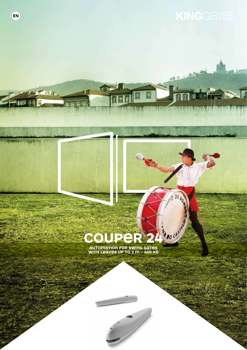Ħ

 $DE$ 

## **COU R 24 TOMATION FOR**

**UP TO**

Ċ,

 $\triangle$ 

**h** Le

圖

**Lighting** regarding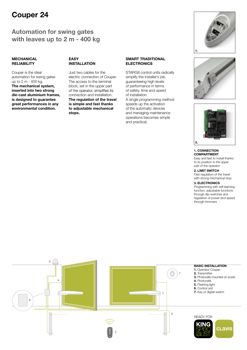## Couper 24

## Automation for swing gates with leaves up to 2 m - 400 kg

#### MECHANICAL **RELIABILITY**

Couper is the ideal automation for swing gates up to 2 m - 400 kg. The mechanical system, inserted into two strong die-cast aluminium frames, is designed to guarantee great performances in any environmental condition.

#### EASY INSTALLATION

Just two cables for the electric connection of Couper. The access to the terminal block, set in the upper part of the operator, simplifies its connection and installation. The regulation of the travel is simple and fast thanks to adjustable mechanical stops.

#### SMART TRADITIONAL **ELECTRONICS**

STARG8 control units radically simplify the installer's job. guaranteeing high levels of performance in terms of safety, time and speed of installation. A single programming method speeds up the activation of the automatic devices and managing maintenance operations becomes simple and practical.







#### 1. CONNECTION COMPARTMENT

Easy and fast to install thanks to its position in the upper part of the operator

2. LIMIT SWITCH Fast regulation of the travel with strong mechanical stop

#### 3. ELECTRONICS

Programming with self-learning function, adjustable functions through dip-switches and regulation of power and speed through trimmers

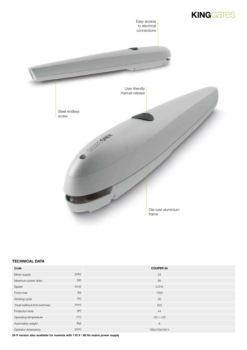

#### TECHNICAL DATA

| Code                            |                | <b>COUPER 24</b> |
|---------------------------------|----------------|------------------|
| Motor supply                    | $(\text{Vdc})$ | 24               |
| Maximum power draw              | (W)            | 85               |
| Speed                           | (m/s)          | 0.018            |
| Force max                       | (N)            | 1500             |
| Working cycle                   | (% )           | 50               |
| Travel (without limit switches) | (mm)           | 320              |
| Protection level                | (IP)           | 44               |
| Operating temperature           | $(^{\circ}C)$  | $-20 \div +55$   |
| Automation weight               | (kg)           | 6                |
| Operator dimensions             | (mm)           | 780x100x104 h    |

24 V version also available for markets with 110 V / 60 Hz mains power supply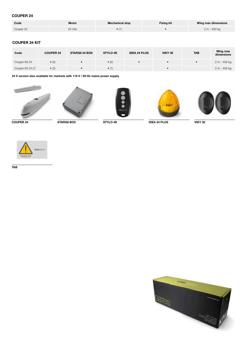#### COUPER 24

| Code      | Motor  | <b>Mechanical stop</b> | <b>Fixing kit</b> | Wing max dimensions |
|-----------|--------|------------------------|-------------------|---------------------|
| Couper 24 | 24 Vdc |                        |                   | 2 m - 400 kg        |

#### COUPER 24 KIT

| Code             | <b>COUPER 24</b> | <b>STARG8 24 BOX</b> | <b>STYLO 4K</b> | <b>IDEA 24 PLUS</b> | <b>VIKY 30</b> | <b>TAB</b> | Wing max<br>dimensions |
|------------------|------------------|----------------------|-----------------|---------------------|----------------|------------|------------------------|
| Couper Kit 24    | $\bullet$ (2)    |                      | $\bullet$ (2)   |                     |                |            | 2 m - 400 kg           |
| Couper Kit 24 LT | $\bullet$ (2)    |                      | $\bullet$ (1)   |                     |                |            | 2 m - 400 kg           |

24 V version also available for markets with 110 V / 60 Hz mains power supply











COUPER 24 STARG8 BOX STYLO 4K VIKY 30 IDEA 24 PLUS



TAB

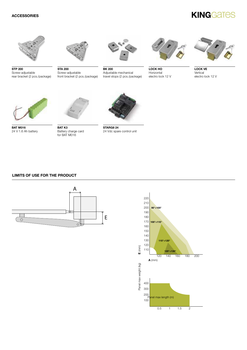## **KINGGATES**



STP 200 Screw-adjustable rear bracket (2 pcs./package)

STA 200 Screw-adjustable

front bracket (2 pcs./package)



BK 200 Adjustable mechanical travel stops (2 pcs./package)



LOCK HO Horizontal electro lock 12 V



LOCK VE **Vertical** electro lock 12 V



**BAT M016** 24 V 1.6 Ah battery



BAT<sub>K3</sub> Battery charge card for BAT M016



**STARG8 24** 24 Vdc spare control unit

#### LIMITS OF USE FOR THE PRODUCT